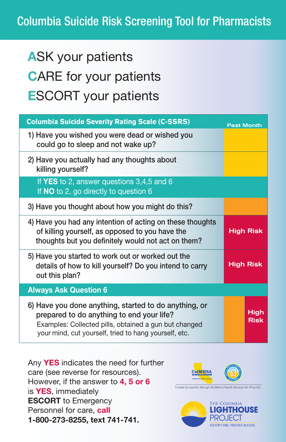# Columbia Suicide Risk Screening Tool for Pharmacists

# ASK your patients CARE for your patients ESCORT your patients

| <b>Columbia Suicide Severity Rating Scale (C-SSRS)</b>                                                                                                                                                               | <b>Past Month</b>   |
|----------------------------------------------------------------------------------------------------------------------------------------------------------------------------------------------------------------------|---------------------|
| 1) Have you wished you were dead or wished you<br>could go to sleep and not wake up?                                                                                                                                 |                     |
| 2) Have you actually had any thoughts about<br>killing yourself?                                                                                                                                                     |                     |
| If YES to 2, answer questions $3,4,5$ and 6<br>If NO to 2, go directly to question 6                                                                                                                                 |                     |
| 3) Have you thought about how you might do this?                                                                                                                                                                     |                     |
| 4) Have you had any intention of acting on these thoughts<br>of killing yourself, as opposed to you have the<br>thoughts but you definitely would not act on them?                                                   | <b>High Risk</b>    |
| 5) Have you started to work out or worked out the<br>details of how to kill yourself? Do you intend to carry<br>out this plan?                                                                                       | <b>High Risk</b>    |
| <b>Always Ask Question 6</b>                                                                                                                                                                                         |                     |
| 6) Have you done anything, started to do anything, or<br>prepared to do anything to end your life?<br>Examples: Collected pills, obtained a gun but changed<br>your mind, cut yourself, tried to hang yourself, etc. | High<br><b>Risk</b> |

Any YES indicates the need for further care (see reverse for resources). However, if the answer to 4, 5 or 6 is YES, immediately ESCORT to Emergency Personnel for care, call 1-800-273-8255, text 741-741.



Funded by counties through the Mental Health